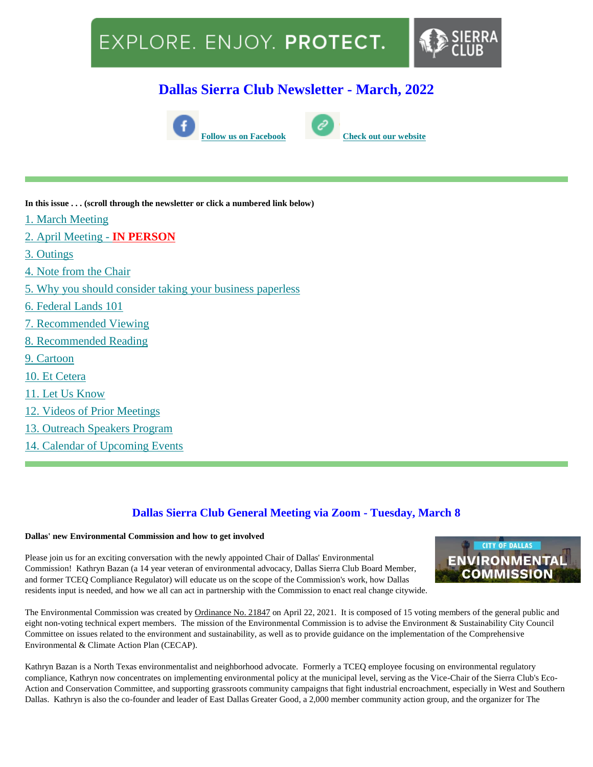# EXPLORE. ENJOY. PROTECT.



### **Dallas Sierra Club Newsletter - March, 2022**





**In this issue . . . (scroll through the newsletter or click a numbered link below)**

- [1. March Meeting](file:///C:/Users/kirkm/Downloads/Dallas%20Sierra%20Club%20March%20Newsletter.htm%23mar8)
- [2. April Meeting -](file:///C:/Users/kirkm/Downloads/Dallas%20Sierra%20Club%20March%20Newsletter.htm%23apr12) **[IN PERSON](file:///C:/Users/kirkm/Downloads/Dallas%20Sierra%20Club%20March%20Newsletter.htm%23apr12)**
- [3. Outings](file:///C:/Users/kirkm/Downloads/Dallas%20Sierra%20Club%20March%20Newsletter.htm%23Outings)
- [4. Note from the Chair](file:///C:/Users/kirkm/Downloads/Dallas%20Sierra%20Club%20March%20Newsletter.htm%23note)
- [5. Why you should consider taking your business paperless](file:///C:/Users/kirkm/Downloads/Dallas%20Sierra%20Club%20March%20Newsletter.htm%23paperless)
- 6. [Federal Lands 101](file:///C:/Users/kirkm/Downloads/Dallas%20Sierra%20Club%20March%20Newsletter.htm%23lands)
- [7. Recommended Viewing](file:///C:/Users/kirkm/Downloads/Dallas%20Sierra%20Club%20March%20Newsletter.htm%23viewing)
- [8. Recommended Reading](file:///C:/Users/kirkm/Downloads/Dallas%20Sierra%20Club%20March%20Newsletter.htm%23reading)
- [9. Cartoon](file:///C:/Users/kirkm/Downloads/Dallas%20Sierra%20Club%20March%20Newsletter.htm%23cartoon)
- [10. Et Cetera](file:///C:/Users/kirkm/Downloads/Dallas%20Sierra%20Club%20March%20Newsletter.htm%23et)
- [11. Let Us Know](file:///C:/Users/kirkm/Downloads/Dallas%20Sierra%20Club%20March%20Newsletter.htm%23please)
- [12. Videos of Prior Meetings](file:///C:/Users/kirkm/Downloads/Dallas%20Sierra%20Club%20March%20Newsletter.htm%23videos)
- [13. Outreach Speakers Program](file:///C:/Users/kirkm/Downloads/Dallas%20Sierra%20Club%20March%20Newsletter.htm%23speakers)
- [14. Calendar of Upcoming Events](file:///C:/Users/kirkm/Downloads/Dallas%20Sierra%20Club%20March%20Newsletter.htm%23calendar)

### **Dallas Sierra Club General Meeting via Zoom - Tuesday, March 8**

#### **Dallas' new Environmental Commission and how to get involved**

Please join us for an exciting conversation with the newly appointed Chair of Dallas' Environmental Commission! Kathryn Bazan (a 14 year veteran of environmental advocacy, Dallas Sierra Club Board Member, and former TCEQ Compliance Regulator) will educate us on the scope of the Commission's work, how Dallas residents input is needed, and how we all can act in partnership with the Commission to enact real change citywide.



The Environmental Commission was created by [Ordinance No. 21847](https://www.dallasclimateaction.com/_files/ugd/349b65_1655a0c4d014422aa6c22fd328e61bfa.pdf) on April 22, 2021. It is composed of 15 voting members of the general public and eight non-voting technical expert members. The mission of the Environmental Commission is to advise the Environment & Sustainability City Council Committee on issues related to the environment and sustainability, as well as to provide guidance on the implementation of the Comprehensive Environmental & Climate Action Plan (CECAP).

Kathryn Bazan is a North Texas environmentalist and neighborhood advocate. Formerly a TCEQ employee focusing on environmental regulatory compliance, Kathryn now concentrates on implementing environmental policy at the municipal level, serving as the Vice-Chair of the Sierra Club's Eco-Action and Conservation Committee, and supporting grassroots community campaigns that fight industrial encroachment, especially in West and Southern Dallas. Kathryn is also the co-founder and leader of East Dallas Greater Good, a 2,000 member community action group, and the organizer for The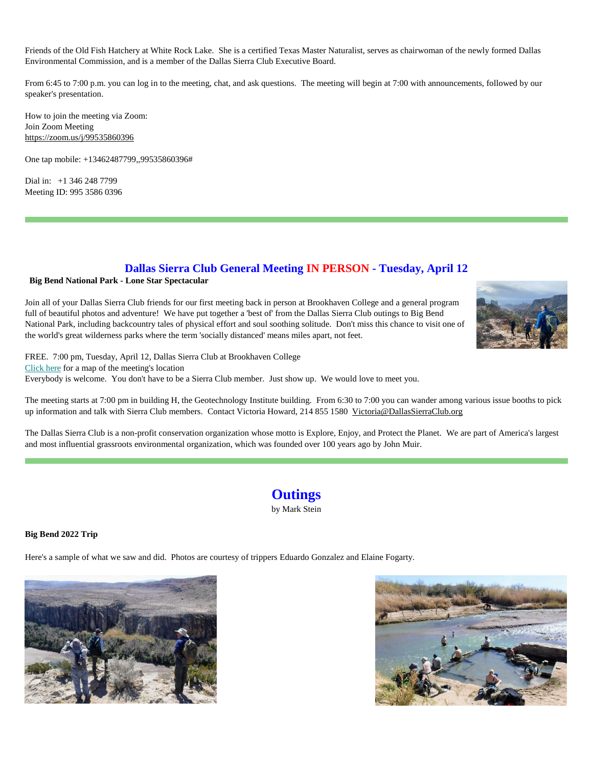Friends of the Old Fish Hatchery at White Rock Lake. She is a certified Texas Master Naturalist, serves as chairwoman of the newly formed Dallas Environmental Commission, and is a member of the Dallas Sierra Club Executive Board.

From 6:45 to 7:00 p.m. you can log in to the meeting, chat, and ask questions. The meeting will begin at 7:00 with announcements, followed by our speaker's presentation.

How to join the meeting via Zoom: Join Zoom Meeting <https://zoom.us/j/99535860396>

One tap mobile: +13462487799,,99535860396#

Dial in: +1 346 248 7799 Meeting ID: 995 3586 0396

#### **Dallas Sierra Club General Meeting IN PERSON - Tuesday, April 12**

#### **Big Bend National Park - Lone Star Spectacular**

Join all of your Dallas Sierra Club friends for our first meeting back in person at Brookhaven College and a general program full of beautiful photos and adventure! We have put together a 'best of' from the Dallas Sierra Club outings to Big Bend National Park, including backcountry tales of physical effort and soul soothing solitude. Don't miss this chance to visit one of the world's great wilderness parks where the term 'socially distanced' means miles apart, not feet.



FREE. 7:00 pm, Tuesday, April 12, Dallas Sierra Club at Brookhaven College [Click here](http://www.dallassierraclub.org/page.htm?generalmeeting) for a map of the meeting's location Everybody is welcome. You don't have to be a Sierra Club member. Just show up. We would love to meet you.

The meeting starts at 7:00 pm in building H, the Geotechnology Institute building. From 6:30 to 7:00 you can wander among various issue booths to pick up information and talk with Sierra Club members. Contact Victoria Howard, 214 855 1580 [Victoria@DallasSierraClub.org](mailto:Victoria@DallasSierraClub.org)

The Dallas Sierra Club is a non-profit conservation organization whose motto is Explore, Enjoy, and Protect the Planet. We are part of America's largest and most influential grassroots environmental organization, which was founded over 100 years ago by John Muir.

## **Outings**

by Mark Stein

**Big Bend 2022 Trip**

Here's a sample of what we saw and did. Photos are courtesy of trippers Eduardo Gonzalez and Elaine Fogarty.



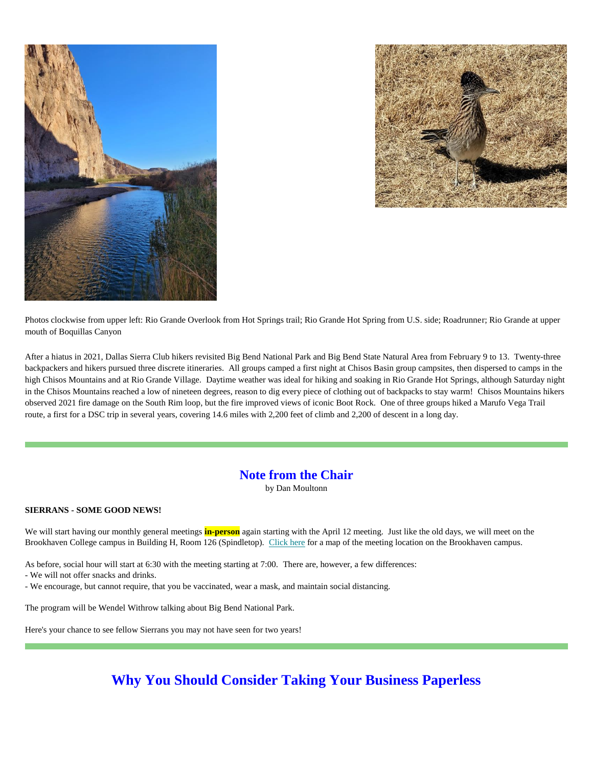



Photos clockwise from upper left: Rio Grande Overlook from Hot Springs trail; Rio Grande Hot Spring from U.S. side; Roadrunner; Rio Grande at upper mouth of Boquillas Canyon

After a hiatus in 2021, Dallas Sierra Club hikers revisited Big Bend National Park and Big Bend State Natural Area from February 9 to 13. Twenty-three backpackers and hikers pursued three discrete itineraries. All groups camped a first night at Chisos Basin group campsites, then dispersed to camps in the high Chisos Mountains and at Rio Grande Village. Daytime weather was ideal for hiking and soaking in Rio Grande Hot Springs, although Saturday night in the Chisos Mountains reached a low of nineteen degrees, reason to dig every piece of clothing out of backpacks to stay warm! Chisos Mountains hikers observed 2021 fire damage on the South Rim loop, but the fire improved views of iconic Boot Rock. One of three groups hiked a Marufo Vega Trail route, a first for a DSC trip in several years, covering 14.6 miles with 2,200 feet of climb and 2,200 of descent in a long day.

### **Note from the Chair**

by Dan Moultonn

#### **SIERRANS - SOME GOOD NEWS!**

We will start having our monthly general meetings **in-person** again starting with the April 12 meeting. Just like the old days, we will meet on the Brookhaven College campus in Building H, Room 126 (Spindletop). [Click here](http://dallassierraclub.org/page.htm?generalmeeting) for a map of the meeting location on the Brookhaven campus.

As before, social hour will start at 6:30 with the meeting starting at 7:00. There are, however, a few differences:

- We will not offer snacks and drinks.

- We encourage, but cannot require, that you be vaccinated, wear a mask, and maintain social distancing.

The program will be Wendel Withrow talking about Big Bend National Park.

Here's your chance to see fellow Sierrans you may not have seen for two years!

### **Why You Should Consider Taking Your Business Paperless**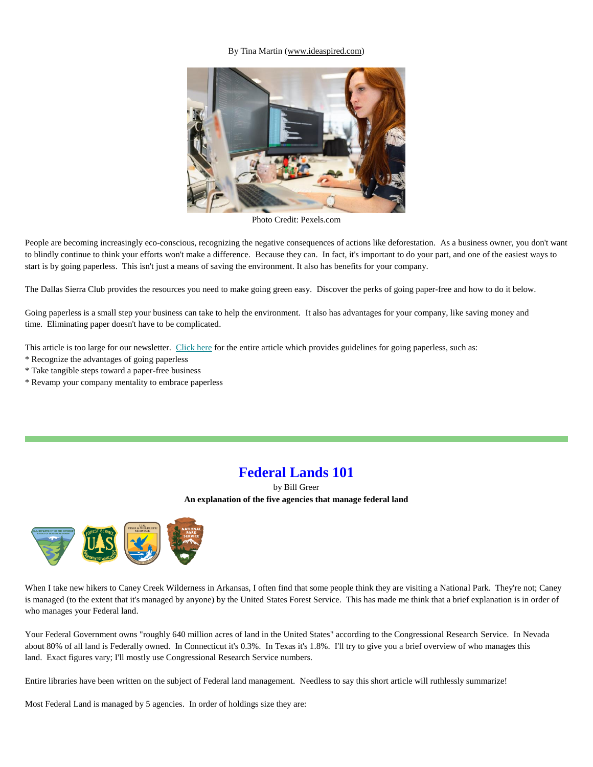#### By Tina Martin [\(www.ideaspired.com\)](https://www.ideaspired.com/)



Photo Credit: Pexels.com

People are becoming increasingly eco-conscious, recognizing the negative consequences of actions like deforestation. As a business owner, you don't want to blindly continue to think your efforts won't make a difference. Because they can. In fact, it's important to do your part, and one of the easiest ways to start is by going paperless. This isn't just a means of saving the environment. It also has benefits for your company.

The Dallas Sierra Club provides the resources you need to make going green easy. Discover the perks of going paper-free and how to do it below.

Going paperless is a small step your business can take to help the environment. It also has advantages for your company, like saving money and time. Eliminating paper doesn't have to be complicated.

This article is too large for our newsletter. [Click here](http://www.dallassierraclub.org/page.htm?paperless) for the entire article which provides guidelines for going paperless, such as:

- \* Recognize the advantages of going paperless
- \* Take tangible steps toward a paper-free business
- \* Revamp your company mentality to embrace paperless

### **Federal Lands 101**

by Bill Greer **An explanation of the five agencies that manage federal land**



When I take new hikers to Caney Creek Wilderness in Arkansas, I often find that some people think they are visiting a National Park. They're not; Caney is managed (to the extent that it's managed by anyone) by the United States Forest Service. This has made me think that a brief explanation is in order of who manages your Federal land.

Your Federal Government owns "roughly 640 million acres of land in the United States" according to the Congressional Research Service. In Nevada about 80% of all land is Federally owned. In Connecticut it's 0.3%. In Texas it's 1.8%. I'll try to give you a brief overview of who manages this land. Exact figures vary; I'll mostly use Congressional Research Service numbers.

Entire libraries have been written on the subject of Federal land management. Needless to say this short article will ruthlessly summarize!

Most Federal Land is managed by 5 agencies. In order of holdings size they are: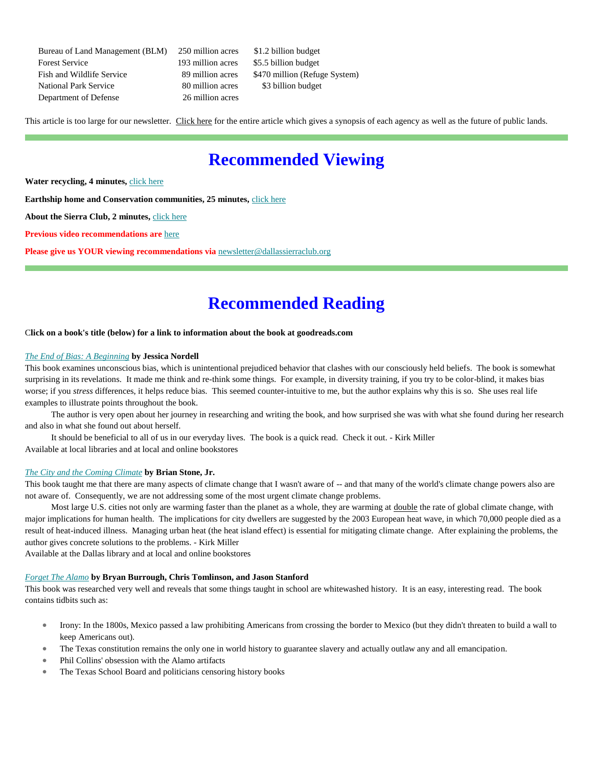Bureau of Land Management (BLM) 250 million acres \$1.2 billion budget Forest Service 193 million acres \$5.5 billion budget Fish and Wildlife Service 89 million acres \$470 million (Refuge System) National Park Service 80 million acres \$3 billion budget Department of Defense 26 million acres

This article is too large for our newsletter. [Click here](http://www.dallassierraclub.org/page.htm?federal) for the entire article which gives a synopsis of each agency as well as the future of public lands.

## **Recommended Viewing**

Water recycling, 4 minutes, [click here](https://www.youtube.com/watch?v=QOefGELrWEw)

**Earthship home and Conservation communities, 25 minutes,** [click here](https://www.growingagreenerworld.com/episode-1212-greening-up-the-places-we-call-home/)

**About the Sierra Club, 2 minutes,** [click here](https://www.youtube.com/watch?v=E7bq87ZLwmw)

**Previous video recommendations are** [here](http://dallassierraclub.org/page.htm?videos)

**Please give us YOUR viewing recommendations via** [newsletter@dallassierraclub.org](mailto:newsletter@dallassierraclub.org)

## **Recommended Reading**

#### C**lick on a book's title (below) for a link to information about the book at goodreads.com**

#### *[The End of Bias: A Beginning](https://www.goodreads.com/book/show/52079610-the-end-of-bias?from_search=true&from_srp=true&qid=h6YTse2Ke0&rank=1)* **by Jessica Nordell**

This book examines unconscious bias, which is unintentional prejudiced behavior that clashes with our consciously held beliefs. The book is somewhat surprising in its revelations. It made me think and re-think some things. For example, in diversity training, if you try to be color-blind, it makes bias worse; if you *stress* differences, it helps reduce bias. This seemed counter-intuitive to me, but the author explains why this is so. She uses real life examples to illustrate points throughout the book.

 The author is very open about her journey in researching and writing the book, and how surprised she was with what she found during her research and also in what she found out about herself.

 It should be beneficial to all of us in our everyday lives. The book is a quick read. Check it out. - Kirk Miller Available at local libraries and at local and online bookstores

#### *[The City and the Coming Climate](https://www.goodreads.com/book/show/13832091-the-city-and-the-coming-climate?from_search=true&from_srp=true&qid=EOtqzrpr9p&rank=1)* **by Brian Stone, Jr.**

This book taught me that there are many aspects of climate change that I wasn't aware of -- and that many of the world's climate change powers also are not aware of. Consequently, we are not addressing some of the most urgent climate change problems.

Most large U.S. cities not only are warming faster than the planet as a whole, they are warming at double the rate of global climate change, with major implications for human health. The implications for city dwellers are suggested by the 2003 European heat wave, in which 70,000 people died as a result of heat-induced illness. Managing urban heat (the heat island effect) is essential for mitigating climate change. After explaining the problems, the author gives concrete solutions to the problems. - Kirk Miller

Available at the Dallas library and at local and online bookstores

#### *[Forget The Alamo](https://www.goodreads.com/book/show/55411740-forget-the-alamo?from_search=true&from_srp=true&qid=K4BbodeA4b&rank=1)* **by Bryan Burrough, Chris Tomlinson, and Jason Stanford**

This book was researched very well and reveals that some things taught in school are whitewashed history. It is an easy, interesting read. The book contains tidbits such as:

- Irony: In the 1800s, Mexico passed a law prohibiting Americans from crossing the border to Mexico (but they didn't threaten to build a wall to keep Americans out).
- The Texas constitution remains the only one in world history to guarantee slavery and actually outlaw any and all emancipation.
- Phil Collins' obsession with the Alamo artifacts
- The Texas School Board and politicians censoring history books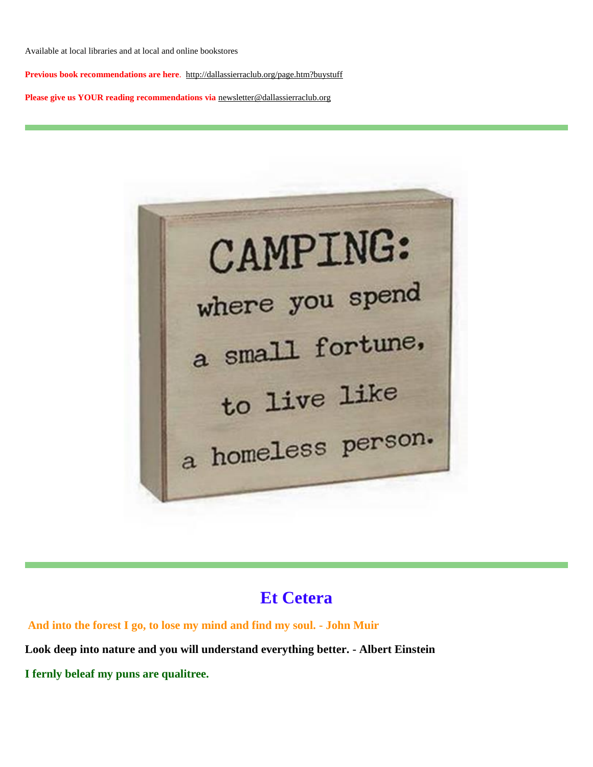Available at local libraries and at local and online bookstores

**Previous book recommendations are here**. <http://dallassierraclub.org/page.htm?buystuff>

**Please give us YOUR reading recommendations via** [newsletter@dallassierraclub.org](mailto:newsletter@dallassierraclub.org)

CAMPING: where you spend a small fortune. to live like a homeless person.

## **Et Cetera**

**And into the forest I go, to lose my mind and find my soul. - John Muir Look deep into nature and you will understand everything better. - Albert Einstein I fernly beleaf my puns are qualitree.**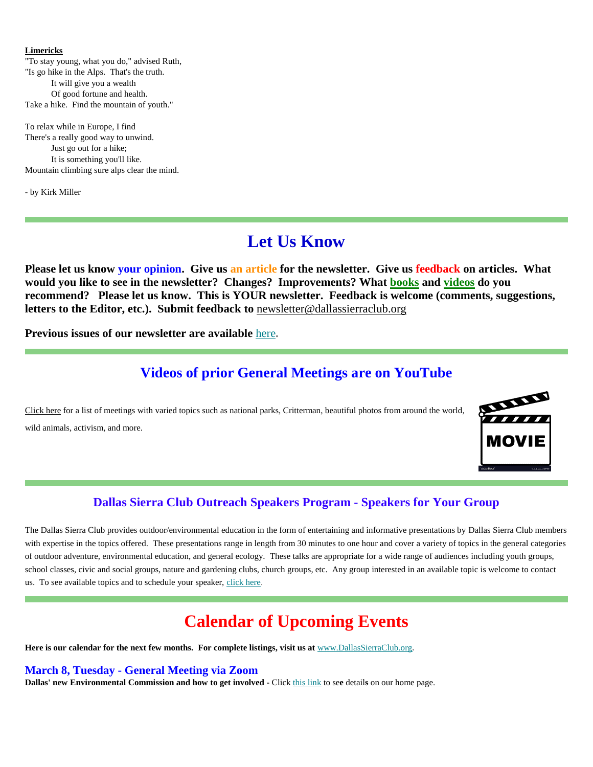#### **Limericks**

"To stay young, what you do," advised Ruth, "Is go hike in the Alps. That's the truth. It will give you a wealth Of good fortune and health. Take a hike. Find the mountain of youth."

To relax while in Europe, I find There's a really good way to unwind. Just go out for a hike; It is something you'll like. Mountain climbing sure alps clear the mind.

- by Kirk Miller

## **Let Us Know**

**Please let us know your opinion. Give us an article for the newsletter. Give us feedback on articles. What would you like to see in the newsletter? Changes? Improvements? What [books](file:///C:/Users/kirkm/Downloads/Dallas%20Sierra%20Club%20March%20Newsletter.htm%23reading) and [videos](file:///C:/Users/kirkm/Downloads/Dallas%20Sierra%20Club%20March%20Newsletter.htm%23viewing) do you recommend? Please let us know. This is YOUR newsletter. Feedback is welcome (comments, suggestions, letters to the Editor, etc.). Submit feedback to** [newsletter@dallassierraclub.org](mailto:newsletter@dallassierraclub.org)

**Previous issues of our newsletter are available** [here](https://dallassierraclub.us1.list-manage.com/track/click?u=c1d52f6f461e6392896fb02a5&id=9546a74924&e=6dca5b0c78)**.**

### **Videos of prior General Meetings are on YouTube**

[Click here](http://dallassierraclub.org/page.htm?generalmeeting) for a list of meetings with varied topics such as national parks, Critterman, beautiful photos from around the world, wild animals, activism, and more.



### **Dallas Sierra Club Outreach Speakers Program - Speakers for Your Group**

The Dallas Sierra Club provides outdoor/environmental education in the form of entertaining and informative presentations by Dallas Sierra Club members with expertise in the topics offered. These presentations range in length from 30 minutes to one hour and cover a variety of topics in the general categories of outdoor adventure, environmental education, and general ecology. These talks are appropriate for a wide range of audiences including youth groups, school classes, civic and social groups, nature and gardening clubs, church groups, etc. Any group interested in an available topic is welcome to contact us. To see available topics and to schedule your speaker, [click here.](http://www.dallassierraclub.org/page.htm?speakers)

## **Calendar of Upcoming Events**

**Here is our calendar for the next few months. For complete listings, visit us at** [www.DallasSierraClub.org](http://dallassierraclub.org/)**.**

**March 8, Tuesday - General Meeting via Zoom**

**Dallas' new Environmental Commission and how to get involved -** Click [this link](http://dallassierraclub.org/) to se**e** detail**s** on our home page.